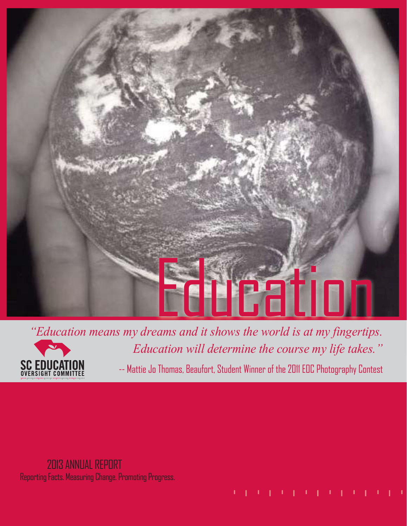



-- Mattie Jo Thomas, Beaufort, Student Winner of the 2011 EOC Photography Contest

## 2013 ANNUAL REPORT Reporting Facts. Measuring Change. Promoting Progress.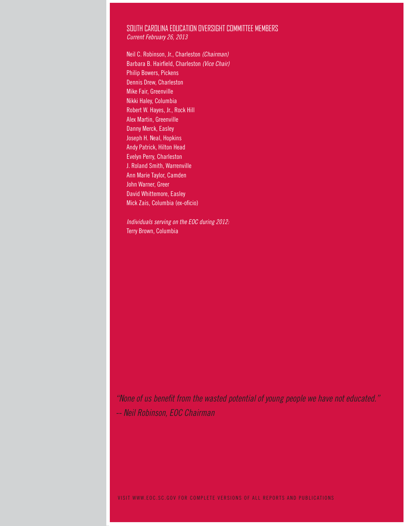#### SOUTH CAROLINA EDUCATION OVERSIGHT COMMITTEE MEMBERS Current February 26, 2013

Neil C. Robinson, Jr., Charleston (Chairman) Barbara B. Hairfield, Charleston (Vice Chair) Philip Bowers, Pickens Dennis Drew, Charleston Mike Fair, Greenville Nikki Haley, Columbia Robert W. Hayes, Jr., Rock Hill Alex Martin, Greenville Danny Merck, Easley Joseph H. Neal, Hopkins Andy Patrick, Hilton Head Evelyn Perry, Charleston J. Roland Smith, Warrenville Ann Marie Taylor, Camden John Warner, Greer David Whittemore, Easley Mick Zais, Columbia (ex-oficio)

Individuals serving on the EOC during 2012: Terry Brown, Columbia

"None of us benefit from the wasted potential of young people we have not educated." -- Neil Robinson, EOC Chairman

VISIT WWW.EOC.SC.GOV FOR COMPLETE VERSIONS OF ALL REPORTS AND PUBLICATIONS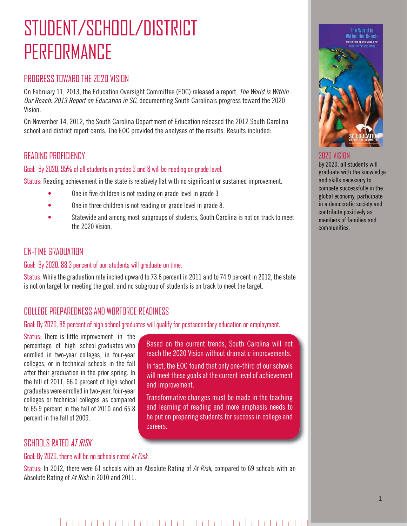## STUDENT/SCHOOL/DISTRICT PERFORMANCE

## PROGRESS TOWARD THE 2020 VISION

On February 11, 2013, the Education Oversight Committee (EOC) released a report, The World is Within Our Reach: 2013 Report on Education in SC, documenting South Carolina's progress toward the 2020 Vision.

On November 14, 2012, the South Carolina Department of Education released the 2012 South Carolina school and district report cards. The EOC provided the analyses of the results. Results included:

## READING PROFICIENCY

#### Goal: By 2020, 95% of all students in grades 3 and 8 will be reading on grade level.

Status: Reading achievement in the state is relatively flat with no significant or sustained improvement.

- One in five children is not reading on grade level in grade 3
- One in three children is not reading on grade level in grade 8.
- Statewide and among most subgroups of students, South Carolina is not on track to meet the 2020 Vision.

## **ON-TIME GRADUATION**

#### Goal: By 2020, 88.3 percent of our students will graduate on time.

Status: While the graduation rate inched upward to 73.6 percent in 2011 and to 74.9 percent in 2012, the state is not on target for meeting the goal, and no subgroup of students is on track to meet the target.

> Based on the current trends, South Carolina will not reach the 2020 Vision without dramatic improvements. In fact, the EOC found that only one-third of our schools will meet these goals at the current level of achievement

> Transformative changes must be made in the teaching and learning of reading and more emphasis needs to be put on preparing students for success in college and

## COLLEGE PREPAREDNESS AND WORFORCE READINESS

#### Goal: By 2020, 85 percent of high school graduates will qualify for postsecondary education or employment.

Status: There is little improvement in the percentage of high school graduates who enrolled in two-year colleges, in four-year colleges, or in technical schools in the fall after their graduation in the prior spring. In the fall of 2011, 66.0 percent of high school graduates were enrolled in two-year, four-year colleges or technical colleges as compared to 65.9 percent in the fall of 2010 and 65.8 percent in the fall of 2009.

## SCHOOLS RATED AT RISK

#### Goal: By 2020, there will be no schools rated At Risk.

Status: In 2012, there were 61 schools with an Absolute Rating of At Risk, compared to 69 schools with an Absolute Rating of At Risk in 2010 and 2011.

careers.

and improvement.



#### 2020 VISION

By 2020, all students will graduate with the knowledge and skills necessary to compete successfully in the global economy, participate in a democratic society and contribute positively as members of families and communities.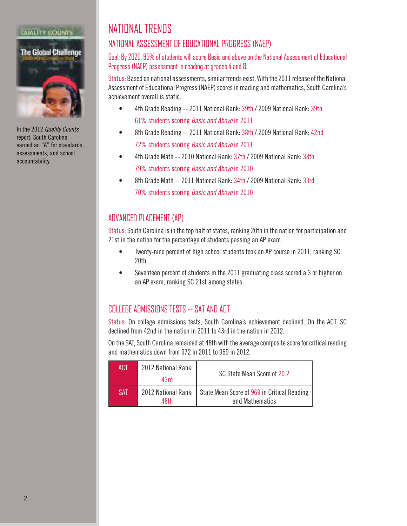

In the 2012 Quality Counts report, South Carolina earned an "A" for standards, assessments, and school accountability.

## NATIONAL TRENDS

## NATIONAL ASSESSMENT OF EDUCATIONAL PROGRESS (NAEP)

#### Goal: By 2020, 95% of students will score Basic and above on the National Assessment of Educational Progress (NAEP) assessment in reading at grades 4 and 8.

Status: Based on national assessments, similar trends exist. With the 2011 release of the National Assessment of Educational Progress (NAEP) scores in reading and mathematics, South Carolina's achievement overall is static.

- 4th Grade Reading -- 2011 National Rank: 39th / 2009 National Rank: 39th 61% students scoring Basic and Above in 2011
- 8th Grade Reading -- 2011 National Rank: 38th / 2009 National Rank: 42nd 72% students scoring Basic and Above in 2011
- 4th Grade Math -- 2010 National Rank: 37th / 2009 National Rank: 38th 79% students scoring Basic and Above in 2010
- 8th Grade Math -- 2011 National Rank: 34th / 2009 National Rank: 33rd 70% students scoring Basic and Above in 2010

## ADVANCED PLACEMENT (AP)

Status: South Carolina is in the top half of states, ranking 20th in the nation for participation and 21st in the nation for the percentage of students passing an AP exam.

- Twenty-nine percent of high school students took an AP course in 2011, ranking SC 20th.
- Seventeen percent of students in the 2011 graduating class scored a 3 or higher on an AP exam, ranking SC 21st among states.

## COLLEGE ADMISSIONS TESTS -- SAT AND ACT

Status: On college admissions tests, South Carolina's achievement declined. On the ACT, SC declined from 42nd in the nation in 2011 to 43rd in the nation in 2012.

On the SAT, South Carolina remained at 48th with the average composite score for critical reading and mathematics down from 972 in 2011 to 969 in 2012.

| ACT | 2012 National Rank:<br>43rd | SC State Mean Score of 20.2                                                          |
|-----|-----------------------------|--------------------------------------------------------------------------------------|
| SAT | 48th                        | 2012 National Rank:   State Mean Score of 969 in Critical Reading<br>and Mathematics |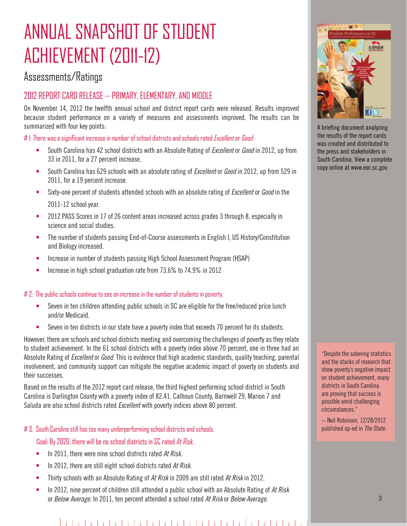## ANNIIAI SNAPSHOT OF STIIDENT ACHIEVEMENT (2011-12)

## Assessments/Ratings

## 2012 REPORT CARD RELEASE -- PRIMARY, ELEMENTARY, AND MIDDLE

On November 14, 2012 the twelfth annual school and district report cards were released. Results improved because student performance on a variety of measures and assessments improved. The results can be summarized with four key points:

 $#$  1: There was a significant increase in number of school districts and schools rated Excellent or Good

- South Carolina has 42 school districts with an Absolute Rating of *Excellent* or *Good* in 2012, up from 33 in 2011, for a 27 percent increase.
- South Carolina has 629 schools with an absolute rating of *Excellent* or *Good* in 2012, up from 529 in 2011, for a 19 percent increase.
- Sixty-one percent of students attended schools with an absolute rating of *Excellent* or *Good* in the 2011-12 school year.
- 2012 PASS Scores in 17 of 26 content areas increased across grades 3 through 8, especially in science and social studies.
- The number of students passing End-of-Course assessments in English I, US History/Constitution and Biology increased.
- Increase in number of students passing High School Assessment Program (HSAP)
- Increase in high school graduation rate from 73.6% to 74.9% in 2012

#### # 2: The public schools continue to see an increase in the number of students in poverty.

- Seven in ten children attending public schools in SC are eligible for the free/reduced price lunch and/or Medicaid.
- Seven in ten districts in our state have a poverty index that exceeds 70 percent for its students.

However, there are schools and school districts meeting and overcoming the challenges of poverty as they relate to student achievement. In the 61 school districts with a poverty index above 70 percent, one in three had an Absolute Rating of Excellent or Good. This is evidence that high academic standards, quality teaching, parental involvement, and community support can mitigate the negative academic impact of poverty on students and their successes.

Based on the results of the 2012 report card release, the third highest performing school district in South Carolina is Darlington County with a poverty index of 82.41. Calhoun County, Barnwell 29, Marion 7 and Saluda are also school districts rated *Excellent* with poverty indices above 80 percent.

#### # 3: South Carolina still has too many underperforming school districts and schools.

Goal: By 2020, there will be no school districts in SC rated At Risk.

- In 2011, there were nine school districts rated At Risk.
- In 2012, there are still eight school districts rated At Risk.
- Thirty schools with an Absolute Rating of At Risk in 2009 are still rated At Risk in 2012.
- In 2012, nine percent of children still attended a public school with an Absolute Rating of At Risk or Below Average. In 2011, ten percent attended a school rated At Risk or Below Average.



A briefing document analyzing the results of the report cards was created and distributed to the press and stakeholders in South Carolina. View a complete copy online at www.eoc.sc.gov.

"Despite the sobering statistics and the stacks of research that show poverty's negative impact on student achievement, many districts in South Carolina are proving that success is possible amid challenging circumstances."

-- Neil Robinson, 12/28/2012 published op-ed in The State.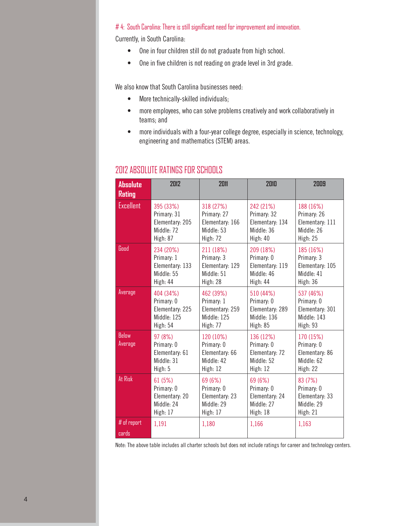#### $# 4$ : South Carolina: There is still significant need for improvement and innovation.

Currently, in South Carolina:

- One in four children still do not graduate from high school.
- One in five children is not reading on grade level in 3rd grade.

We also know that South Carolina businesses need:

- More technically-skilled individuals;
- more employees, who can solve problems creatively and work collaboratively in teams; and
- more individuals with a four-year college degree, especially in science, technology, engineering and mathematics (STEM) areas.

| <b>Absolute</b><br><b>Rating</b> | 2012                                                             | 2011                                                                  | 2010                                                                | 2009                                                                |
|----------------------------------|------------------------------------------------------------------|-----------------------------------------------------------------------|---------------------------------------------------------------------|---------------------------------------------------------------------|
| <b>Excellent</b>                 | 395 (33%)                                                        | 318 (27%)                                                             | 242 (21%)                                                           | 188 (16%)                                                           |
|                                  | Primary: 31                                                      | Primary: 27                                                           | Primary: 32                                                         | Primary: 26                                                         |
|                                  | Elementary: 205                                                  | Elementary: 166                                                       | Elementary: 134                                                     | Elementary: 111                                                     |
|                                  | Middle: 72                                                       | Middle: 53                                                            | Middle: 36                                                          | Middle: 26                                                          |
|                                  | High: 87                                                         | High: 72                                                              | High: 40                                                            | High: 25                                                            |
| Good                             | 234 (20%)                                                        | 211 (18%)                                                             | 209 (18%)                                                           | 185 (16%)                                                           |
|                                  | Primary: 1                                                       | Primary: 3                                                            | Primary: 0                                                          | Primary: 3                                                          |
|                                  | Elementary: 133                                                  | Elementary: 129                                                       | Elementary: 119                                                     | Elementary: 105                                                     |
|                                  | Middle: 55                                                       | Middle: 51                                                            | Middle: 46                                                          | Middle: 41                                                          |
|                                  | High: 44                                                         | High: 28                                                              | High: 44                                                            | High: 36                                                            |
| Average                          | 404 (34%)                                                        | 462 (39%)                                                             | 510 (44%)                                                           | 537 (46%)                                                           |
|                                  | Primary: 0                                                       | Primary: 1                                                            | Primary: 0                                                          | Primary: 0                                                          |
|                                  | Elementary: 225                                                  | Elementary: 259                                                       | Elementary: 289                                                     | Elementary: 301                                                     |
|                                  | Middle: 125                                                      | Middle: 125                                                           | Middle: 136                                                         | Middle: 143                                                         |
|                                  | <b>High: 54</b>                                                  | <b>High: 77</b>                                                       | <b>High: 85</b>                                                     | High: 93                                                            |
| <b>Below</b><br>Average          | 97 (8%)<br>Primary: 0<br>Elementary: 61<br>Middle: 31<br>High: 5 | 120 (10%)<br>Primary: 0<br>Elementary: 66<br>Middle: 42<br>High: $12$ | 136 (12%)<br>Primary: 0<br>Elementary: 72<br>Middle: 52<br>High: 12 | 170 (15%)<br>Primary: 0<br>Elementary: 86<br>Middle: 62<br>High: 22 |
| At Risk                          | 61 (5%)                                                          | 69 (6%)                                                               | 69 (6%)                                                             | 83 (7%)                                                             |
|                                  | Primary: 0                                                       | Primary: 0                                                            | Primary: 0                                                          | Primary: 0                                                          |
|                                  | Elementary: 20                                                   | Elementary: 23                                                        | Elementary: 24                                                      | Elementary: 33                                                      |
|                                  | Middle: 24                                                       | Middle: 29                                                            | Middle: 27                                                          | Middle: 29                                                          |
|                                  | High: 17                                                         | High: 17                                                              | High: 18                                                            | High: 21                                                            |
| $#$ of report<br>cards           | 1,191                                                            | 1,180                                                                 | 1,166                                                               | 1,163                                                               |

## 2012 ABSOLUTE RATINGS FOR SCHOOLS

Note: The above table includes all charter schools but does not include ratings for career and technology centers.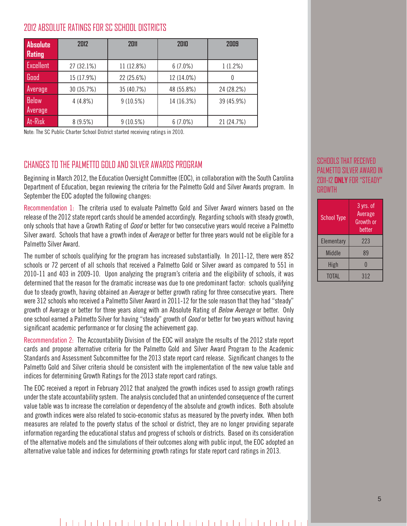## 2012 ABSOLUTE RATINGS FOR SC SCHOOL DISTRICTS

| <b>Absolute</b><br>Rating | 2012       | 2011       | 2010       | 2009       |
|---------------------------|------------|------------|------------|------------|
| Excellent                 | 27 (32.1%) | 11 (12.8%) | $6(7.0\%)$ | 1(1.2%)    |
| Good                      | 15 (17.9%) | 22 (25.6%) | 12 (14.0%) |            |
| Average                   | 30 (35.7%) | 35 (40.7%) | 48 (55.8%) | 24 (28.2%) |
| <b>Below</b>              | 4(4.8%)    | 9(10.5%)   | 14 (16.3%) | 39 (45.9%) |
| Average                   |            |            |            |            |
| At-Risk                   | 8(9.5%)    | 9(10.5%)   | $6(7.0\%)$ | 21 (24.7%) |

Note: The SC Public Charter School District started receiving ratings in 2010.

## CHANGES TO THE PALMETTO GOLD AND SILVER AWARDS PROGRAM

Beginning in March 2012, the Education Oversight Committee (EOC), in collaboration with the South Carolina Department of Education, began reviewing the criteria for the Palmetto Gold and Silver Awards program. In September the EOC adopted the following changes:

Recommendation 1: The criteria used to evaluate Palmetto Gold and Silver Award winners based on the release of the 2012 state report cards should be amended accordingly. Regarding schools with steady growth, only schools that have a Growth Rating of Good or better for two consecutive years would receive a Palmetto Silver award. Schools that have a growth index of Average or better for three years would not be eligible for a Palmetto Silver Award.

The number of schools qualifying for the program has increased substantially. In 2011-12, there were 852 schools or 72 percent of all schools that received a Palmetto Gold or Silver award as compared to 551 in 2010-11 and 403 in 2009-10. Upon analyzing the program's criteria and the eligibility of schools, it was determined that the reason for the dramatic increase was due to one predominant factor: schools qualifying due to steady growth, having obtained an Average or better growth rating for three consecutive years. There were 312 schools who received a Palmetto Silver Award in 2011-12 for the sole reason that they had "steady" growth of Average or better for three years along with an Absolute Rating of Below Average or better. Only one school earned a Palmetto Silver for having "steady" growth of Good or better for two years without having significant academic performance or for closing the achievement gap.

Recommendation 2: The Accountability Division of the EOC will analyze the results of the 2012 state report cards and propose alternative criteria for the Palmetto Gold and Silver Award Program to the Academic Standards and Assessment Subcommittee for the 2013 state report card release. Significant changes to the Palmetto Gold and Silver criteria should be consistent with the implementation of the new value table and indices for determining Growth Ratings for the 2013 state report card ratings.

The EOC received a report in February 2012 that analyzed the growth indices used to assign growth ratings under the state accountability system. The analysis concluded that an unintended consequence of the current value table was to increase the correlation or dependency of the absolute and growth indices. Both absolute and growth indices were also related to socio-economic status as measured by the poverty index. When both measures are related to the poverty status of the school or district, they are no longer providing separate information regarding the educational status and progress of schools or districts. Based on its consideration of the alternative models and the simulations of their outcomes along with public input, the EOC adopted an alternative value table and indices for determining growth ratings for state report card ratings in 2013.

#### SCHOOLS THAT RECEIVED PALMETTO SILVER AWARD IN 2011-12 **ONLY** FOR "STEADY" **GROWTH**

| <b>School Type</b> | 3 yrs. of<br>Average<br>Growth or<br>better |
|--------------------|---------------------------------------------|
| Elementary         | 223                                         |
| <b>Middle</b>      | 89                                          |
| <b>High</b>        | O                                           |
| <b>TOTAL</b>       | 312                                         |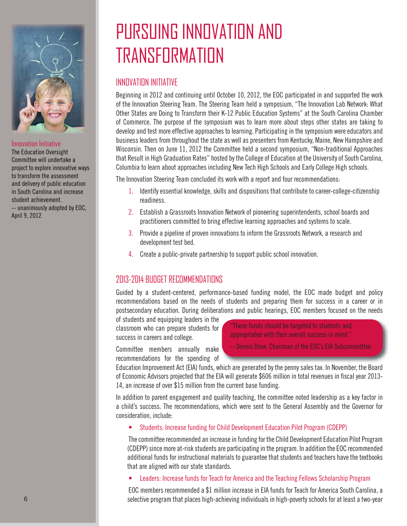

#### Innovation Initiative

The Education Oversight Committee will undertake a project to explore innovative ways to transform the assessment and delivery of public education in South Carolina and increase student achievement. -- unanimously adopted by EOC, April 9, 2012

## PURSUING INNOVATION AND TRANSFORMATION

## INNOVATION INITIATIVE

Beginning in 2012 and continuing until October 10, 2012, the EOC participated in and supported the work of the Innovation Steering Team. The Steering Team held a symposium, "The Innovation Lab Network: What Other States are Doing to Transform their K-12 Public Education Systems" at the South Carolina Chamber of Commerce. The purpose of the symposium was to learn more about steps other states are taking to develop and test more effective approaches to learning. Participating in the symposium were educators and business leaders from throughout the state as well as presenters from Kentucky, Maine, New Hampshire and Wisconsin. Then on June 11, 2012 the Committee held a second symposium, "Non-traditional Approaches that Result in High Graduation Rates" hosted by the College of Education at the University of South Carolina, Columbia to learn about approaches including New Tech High Schools and Early College High schools.

The Innovation Steering Team concluded its work with a report and four recommendations:

- 1. Identify essential knowledge, skills and dispositions that contribute to career-college-citizenship readiness.
- 2. Establish a Grassroots Innovation Network of pioneering superintendents, school boards and practitioners committed to bring effective learning approaches and systems to scale.
- 3. Provide a pipeline of proven innovations to inform the Grassroots Network, a research and development test bed.
- 4. Create a public-private partnership to support public school innovation.

## 2013-2014 BUDGET RECOMMENDATIONS

Guided by a student-centered, performance-based funding model, the EOC made budget and policy recommendations based on the needs of students and preparing them for success in a career or in postsecondary education. During deliberations and public hearings, EOC members focused on the needs

of students and equipping leaders in the classroom who can prepare students for success in careers and college.

Committee members annually make recommendations for the spending of

"These funds should be targeted to students and appropriated with their overall success in mind."

-- Dennis Drew, Chairman of the EOC's EIA Subcommitttee

Education Improvement Act (EIA) funds, which are generated by the penny sales tax. In November, the Board of Economic Advisors projected that the EIA will generate \$606 million in total revenues in fiscal year 2013-14, an increase of over \$15 million from the current base funding.

In addition to parent engagement and quality teaching, the committee noted leadership as a key factor in a child's success. The recommendations, which were sent to the General Assembly and the Governor for consideration, include:

• Students: Increase funding for Child Development Education Pilot Program (CDEPP)

The committee recommended an increase in funding for the Child Development Education Pilot Program (CDEPP) since more at-risk students are participating in the program. In addition the EOC recommended additional funds for instructional materials to guarantee that students and teachers have the textbooks that are aligned with our state standards.

• Leaders: Increase funds for Teach for America and the Teaching Fellows Scholarship Program

EOC members recommended a \$1 million increase in EIA funds for Teach for America South Carolina, a selective program that places high-achieving individuals in high-poverty schools for at least a two-year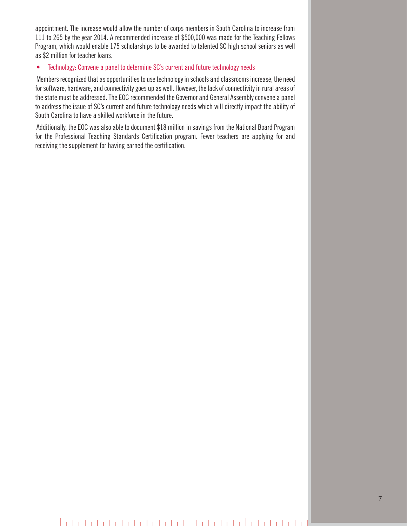appointment. The increase would allow the number of corps members in South Carolina to increase from 111 to 265 by the year 2014. A recommended increase of \$500,000 was made for the Teaching Fellows Program, which would enable 175 scholarships to be awarded to talented SC high school seniors as well as \$2 million for teacher loans.

#### • Technology: Convene a panel to determine SC's current and future technology needs

Members recognized that as opportunities to use technology in schools and classrooms increase, the need for software, hardware, and connectivity goes up as well. However, the lack of connectivity in rural areas of the state must be addressed. The EOC recommended the Governor and General Assembly convene a panel to address the issue of SC's current and future technology needs which will directly impact the ability of South Carolina to have a skilled workforce in the future.

Additionally, the EOC was also able to document \$18 million in savings from the National Board Program for the Professional Teaching Standards Certification program. Fewer teachers are applying for and receiving the supplement for having earned the certification.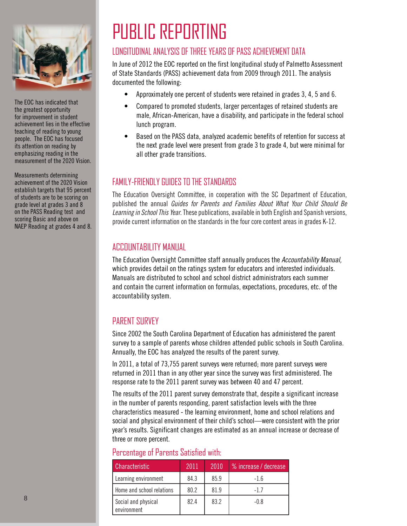

The EOC has indicated that the greatest opportunity for improvement in student achievement lies in the effective teaching of reading to young people. The EOC has focused its attention on reading by emphasizing reading in the measurement of the 2020 Vision.

Measurements determining achievement of the 2020 Vision establish targets that 95 percent of students are to be scoring on grade level at grades 3 and 8 on the PASS Reading test and scoring Basic and above on NAEP Reading at grades 4 and 8.

# PUBLIC REPORTING

## LONGITUDINAL ANALYSIS OF THREE YEARS OF PASS ACHIEVEMENT DATA

In June of 2012 the EOC reported on the first longitudinal study of Palmetto Assessment of State Standards (PASS) achievement data from 2009 through 2011. The analysis documented the following:

- Approximately one percent of students were retained in grades 3, 4, 5 and 6.
- Compared to promoted students, larger percentages of retained students are male, African-American, have a disability, and participate in the federal school lunch program.
- Based on the PASS data, analyzed academic benefits of retention for success at the next grade level were present from grade 3 to grade 4, but were minimal for all other grade transitions.

## FAMILY-FRIENDLY GUIDES TO THE STANDARDS

The Education Oversight Committee, in cooperation with the SC Department of Education, published the annual Guides for Parents and Families About What Your Child Should Be Learning in School This Year. These publications, available in both English and Spanish versions, provide current information on the standards in the four core content areas in grades K-12.

## ACCOUNTABILITY MANUAL

The Education Oversight Committee staff annually produces the Accountability Manual, which provides detail on the ratings system for educators and interested individuals. Manuals are distributed to school and school district administrators each summer and contain the current information on formulas, expectations, procedures, etc. of the accountability system.

## PARENT SURVEY

Since 2002 the South Carolina Department of Education has administered the parent survey to a sample of parents whose children attended public schools in South Carolina. Annually, the EOC has analyzed the results of the parent survey.

In 2011, a total of 73,755 parent surveys were returned; more parent surveys were returned in 2011 than in any other year since the survey was first administered. The response rate to the 2011 parent survey was between 40 and 47 percent.

The results of the 2011 parent survey demonstrate that, despite a significant increase in the number of parents responding, parent satisfaction levels with the three characteristics measured - the learning environment, home and school relations and social and physical environment of their child's school—were consistent with the prior year's results. Significant changes are estimated as an annual increase or decrease of three or more percent.

### Percentage of Parents Satisfied with:

| Characteristic                     | 2011 | 2010 | % increase / decrease |
|------------------------------------|------|------|-----------------------|
| Learning environment               | 84.3 | 85.9 | $-1.6$                |
| Home and school relations          | 80.2 | 81.9 | -17                   |
| Social and physical<br>environment | 82.4 | 83.2 | $-0.8$                |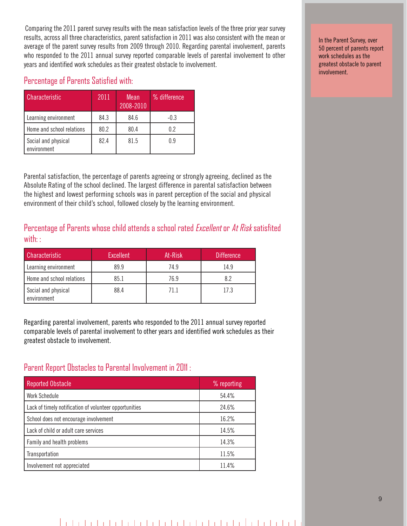Comparing the 2011 parent survey results with the mean satisfaction levels of the three prior year survey results, across all three characteristics, parent satisfaction in 2011 was also consistent with the mean or average of the parent survey results from 2009 through 2010. Regarding parental involvement, parents who responded to the 2011 annual survey reported comparable levels of parental involvement to other years and identified work schedules as their greatest obstacle to involvement.

### Percentage of Parents Satisfied with:

| Characteristic                     | 2011 | Mean<br>2008-2010 | % difference |
|------------------------------------|------|-------------------|--------------|
| Learning environment               | 84.3 | 84.6              | $-0.3$       |
| Home and school relations          | 80.2 | 80.4              | 0.2          |
| Social and physical<br>environment | 82.4 | 81.5              | 0.9          |

Parental satisfaction, the percentage of parents agreeing or strongly agreeing, declined as the Absolute Rating of the school declined. The largest difference in parental satisfaction between the highest and lowest performing schools was in parent perception of the social and physical environment of their child's school, followed closely by the learning environment.

Percentage of Parents whose child attends a school rated Excellent or At Risk satisfited with: :

| <b>Characteristic</b>              | <b>Excellent</b> | At-Risk | <b>Difference</b> |
|------------------------------------|------------------|---------|-------------------|
| Learning environment               | 89.9             | 74.9    | 14.9              |
| <b>I</b> Home and school relations | 85.1             | 76.9    | 8.2               |
| Social and physical<br>environment | 88.4             | 71.1    | 17.3              |

Regarding parental involvement, parents who responded to the 2011 annual survey reported comparable levels of parental involvement to other years and identified work schedules as their greatest obstacle to involvement.

## Parent Report Obstacles to Parental Involvement in 2011 :

| <b>Reported Obstacle</b>                               | % reporting |
|--------------------------------------------------------|-------------|
| <b>Work Schedule</b>                                   | 54.4%       |
| Lack of timely notification of volunteer opportunities | 24.6%       |
| School does not encourage involvement                  | 16.2%       |
| Lack of child or adult care services                   | 14.5%       |
| Family and health problems                             | 14.3%       |
| Transportation                                         | 11.5%       |
| Involvement not appreciated                            | 11.4%       |

In the Parent Survey, over 50 percent of parents report work schedules as the greatest obstacle to parent involvement.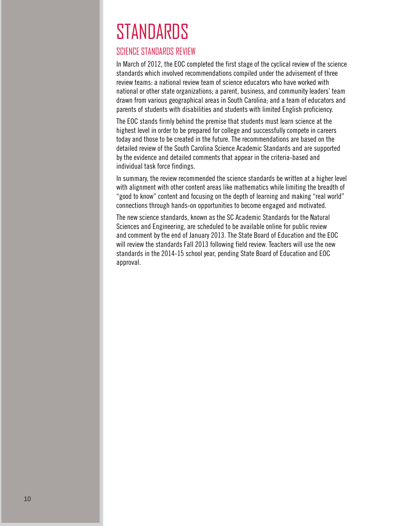# **STANDARDS**

## SCIENCE STANDARDS REVIEW

In March of 2012, the EOC completed the first stage of the cyclical review of the science standards which involved recommendations compiled under the advisement of three review teams: a national review team of science educators who have worked with national or other state organizations; a parent, business, and community leaders' team drawn from various geographical areas in South Carolina; and a team of educators and parents of students with disabilities and students with limited English proficiency.

The EOC stands firmly behind the premise that students must learn science at the highest level in order to be prepared for college and successfully compete in careers today and those to be created in the future. The recommendations are based on the detailed review of the South Carolina Science Academic Standards and are supported by the evidence and detailed comments that appear in the criteria-based and individual task force findings.

In summary, the review recommended the science standards be written at a higher level with alignment with other content areas like mathematics while limiting the breadth of "good to know" content and focusing on the depth of learning and making "real world" connections through hands-on opportunities to become engaged and motivated.

The new science standards, known as the SC Academic Standards for the Natural Sciences and Engineering, are scheduled to be available online for public review and comment by the end of January 2013. The State Board of Education and the EOC will review the standards Fall 2013 following field review. Teachers will use the new standards in the 2014-15 school year, pending State Board of Education and EOC approval.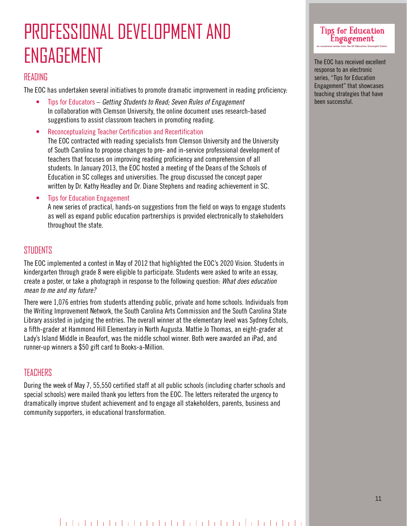## PROFESSIONAL DEVELOPMENT AND ENGAGEMENT

### READING

The EOC has undertaken several initiatives to promote dramatic improvement in reading proficiency:

- Tips for Educators Getting Students to Read; Seven Rules of Engagement In collaboration with Clemson University, the online document uses research-based suggestions to assist classroom teachers in promoting reading.
- Reconceptualizing Teacher Certification and Recertification The EOC contracted with reading specialists from Clemson University and the University of South Carolina to propose changes to pre- and in-service professional development of teachers that focuses on improving reading proficiency and comprehension of all students. In January 2013, the EOC hosted a meeting of the Deans of the Schools of Education in SC colleges and universities. The group discussed the concept paper written by Dr. Kathy Headley and Dr. Diane Stephens and reading achievement in SC.
- Tips for Education Engagement

 A new series of practical, hands-on suggestions from the field on ways to engage students as well as expand public education partnerships is provided electronically to stakeholders throughout the state.

### **STUDENTS**

The EOC implemented a contest in May of 2012 that highlighted the EOC's 2020 Vision. Students in kindergarten through grade 8 were eligible to participate. Students were asked to write an essay, create a poster, or take a photograph in response to the following question: What does education mean to me and my future?

There were 1,076 entries from students attending public, private and home schools. Individuals from the Writing Improvement Network, the South Carolina Arts Commission and the South Carolina State Library assisted in judging the entries. The overall winner at the elementary level was Sydney Echols, a fifth-grader at Hammond Hill Elementary in North Augusta. Mattie Jo Thomas, an eight-grader at Lady's Island Middle in Beaufort, was the middle school winner. Both were awarded an iPad, and runner-up winners a \$50 gift card to Books-a-Million.

### **TEACHERS**

During the week of May 7, 55,550 certified staff at all public schools (including charter schools and special schools) were mailed thank you letters from the EOC. The letters reiterated the urgency to dramatically improve student achievement and to engage all stakeholders, parents, business and community supporters, in educational transformation.

## Tips for Education Engagement an occasional series from the SC Education Oversight Comm.

The EOC has received excellent response to an electronic series, "Tips for Education Engagement" that showcases teaching strategies that have been successful.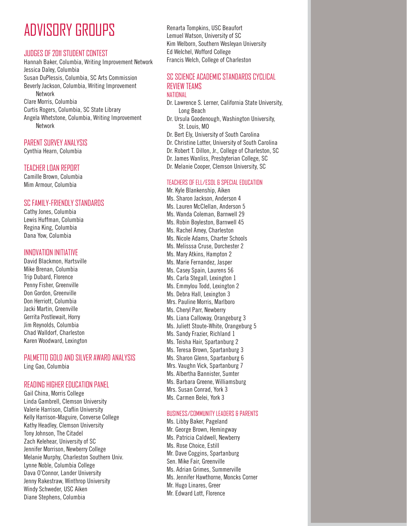## ADVISORY GROUPS

#### JUDGES OF 2011 STUDENT CONTEST

Hannah Baker, Columbia, Writing Improvement Network Jessica Daley, Columbia Susan DuPlessis, Columbia, SC Arts Commission Beverly Jackson, Columbia, Writing Improvement Network Clare Morris, Columbia Curtis Rogers, Columbia, SC State Library Angela Whetstone, Columbia, Writing Improvement Network

#### PARENT SURVEY ANALYSIS

Cynthia Hearn, Columbia

#### TEACHER LOAN REPORT

Camille Brown, Columbia Mim Armour, Columbia

#### SC FAMILY-FRIENDLY STANDARDS

Cathy Jones, Columbia Lewis Huffman, Columbia Regina King, Columbia Dana Yow, Columbia

#### INNOVATION INITIATIVE

David Blackmon, Hartsville Mike Brenan, Columbia Trip Dubard, Florence Penny Fisher, Greenville Don Gordon, Greenville Don Herriott, Columbia Jacki Martin, Greenville Gerrita Postlewait, Horry Jim Reynolds, Columbia Chad Walldorf, Charleston Karen Woodward, Lexington

#### PALMETTO GOLD AND SILVER AWARD ANALYSIS

Ling Gao, Columbia

#### READING HIGHER EDUCATION PANEL

Gail China, Morris College Linda Gambrell, Clemson University Valerie Harrison, Claflin University Kelly Harrison-Maguire, Converse College Kathy Headley, Clemson University Tony Johnson, The Citadel Zach Kelehear, University of SC Jennifer Morrison, Newberry College Melanie Murphy, Charleston Southern Univ. Lynne Noble, Columbia College Dava O'Connor, Lander University Jenny Rakestraw, Winthrop University Windy Schweder, USC Aiken Diane Stephens, Columbia

Renarta Tompkins, USC Beaufort Lemuel Watson, University of SC Kim Welborn, Southern Wesleyan University Ed Welchel, Wofford College Francis Welch, College of Charleston

#### SC SCIENCE ACADEMIC STANDARDS CYCLICAL REVIEW TEAMS NATIONAL

- Dr. Lawrence S. Lerner, California State University, Long Beach
- Dr. Ursula Goodenough, Washington University, St. Louis, MO
- Dr. Bert Ely, University of South Carolina
- Dr. Christine Lotter, University of South Carolina
- Dr. Robert T. Dillon, Jr., College of Charleston, SC
- Dr. James Wanliss, Presbyterian College, SC
- Dr. Melanie Cooper, Clemson University, SC

#### TEACHERS OF ELL/ESOL & SPECIAL EDUCATION

Mr. Kyle Blankenship, Aiken Ms. Sharon Jackson, Anderson 4 Ms. Lauren McClellan, Anderson 5 Ms. Wanda Coleman, Barnwell 29 Ms. Robin Boyleston, Barnwell 45 Ms. Rachel Amey, Charleston Ms. Nicole Adams, Charter Schools Ms. Melisssa Cruse, Dorchester 2 Ms. Mary Atkins, Hampton 2 Ms. Marie Fernandez, Jasper Ms. Casey Spain, Laurens 56 Ms. Carla Stegall, Lexington 1 Ms. Emmylou Todd, Lexington 2 Ms. Debra Hall, Lexington 3 Mrs. Pauline Morris, Marlboro Ms. Cheryl Parr, Newberry Ms. Liana Calloway, Orangeburg 3 Ms. Juliett Stoute-White, Orangeburg 5 Ms. Sandy Frazier, Richland 1 Ms. Teisha Hair, Spartanburg 2 Ms. Teresa Brown, Spartanburg 3 Ms. Sharon Glenn, Spartanburg 6 Mrs. Vaughn Vick, Spartanburg 7 Ms. Albertha Bannister, Sumter Ms. Barbara Greene, Williamsburg Mrs. Susan Conrad, York 3 Ms. Carmen Belei, York 3

#### BUSINESS/COMMUNITY LEADERS & PARENTS

Ms. Libby Baker, Pageland Mr. George Brown, Hemingway Ms. Patricia Caldwell, Newberry Ms. Rose Choice, Estill Mr. Dave Coggins, Spartanburg Sen. Mike Fair, Greenville Ms. Adrian Grimes, Summerville Ms. Jennifer Hawthorne, Moncks Corner Mr. Hugo Linares, Greer Mr. Edward Lott, Florence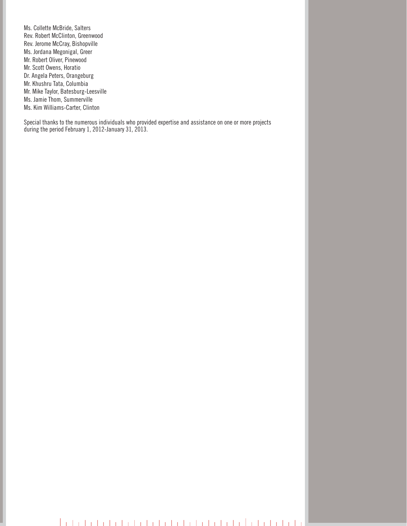Ms. Collette McBride, Salters Rev. Robert McClinton, Greenwood Rev. Jerome McCray, Bishopville Ms. Jordana Megonigal, Greer Mr. Robert Oliver, Pinewood Mr. Scott Owens, Horatio Dr. Angela Peters, Orangeburg Mr. Khushru Tata, Columbia Mr. Mike Taylor, Batesburg-Leesville Ms. Jamie Thom, Summerville Ms. Kim Williams-Carter, Clinton

Special thanks to the numerous individuals who provided expertise and assistance on one or more projects during the period February 1, 2012-January 31, 2013.